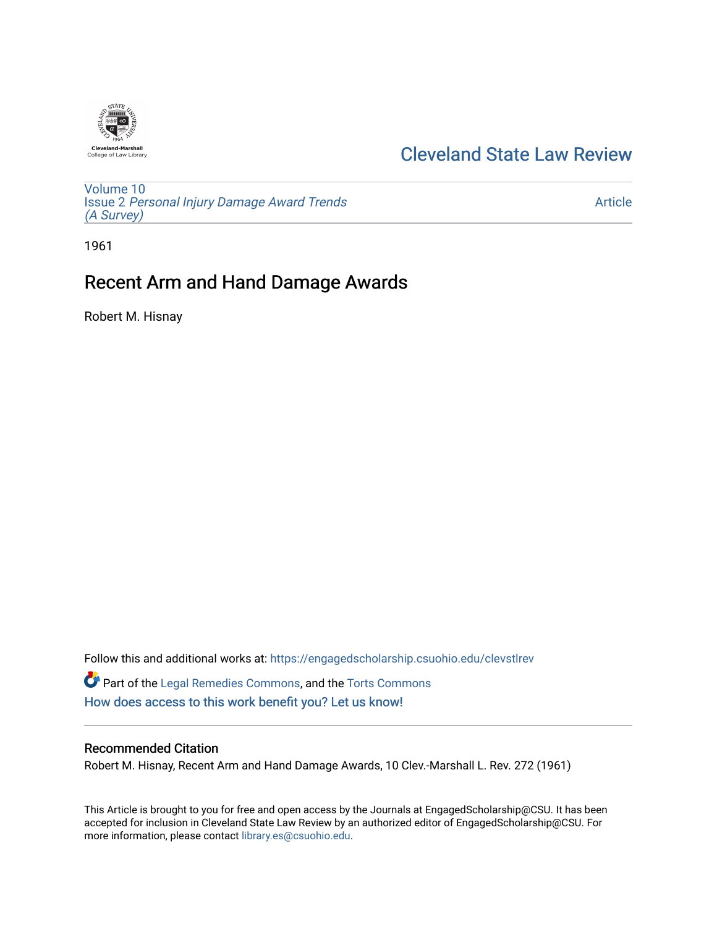

# [Cleveland State Law Review](https://engagedscholarship.csuohio.edu/clevstlrev)

[Volume 10](https://engagedscholarship.csuohio.edu/clevstlrev/vol10) Issue 2 [Personal Injury Damage Award Trends](https://engagedscholarship.csuohio.edu/clevstlrev/vol10/iss2) [\(A Survey\)](https://engagedscholarship.csuohio.edu/clevstlrev/vol10/iss2)

[Article](https://engagedscholarship.csuohio.edu/clevstlrev/vol10/iss2/8) 

1961

# Recent Arm and Hand Damage Awards

Robert M. Hisnay

Follow this and additional works at: [https://engagedscholarship.csuohio.edu/clevstlrev](https://engagedscholarship.csuohio.edu/clevstlrev?utm_source=engagedscholarship.csuohio.edu%2Fclevstlrev%2Fvol10%2Fiss2%2F8&utm_medium=PDF&utm_campaign=PDFCoverPages) Part of the [Legal Remedies Commons,](http://network.bepress.com/hgg/discipline/618?utm_source=engagedscholarship.csuohio.edu%2Fclevstlrev%2Fvol10%2Fiss2%2F8&utm_medium=PDF&utm_campaign=PDFCoverPages) and the [Torts Commons](http://network.bepress.com/hgg/discipline/913?utm_source=engagedscholarship.csuohio.edu%2Fclevstlrev%2Fvol10%2Fiss2%2F8&utm_medium=PDF&utm_campaign=PDFCoverPages) [How does access to this work benefit you? Let us know!](http://library.csuohio.edu/engaged/)

# Recommended Citation

Robert M. Hisnay, Recent Arm and Hand Damage Awards, 10 Clev.-Marshall L. Rev. 272 (1961)

This Article is brought to you for free and open access by the Journals at EngagedScholarship@CSU. It has been accepted for inclusion in Cleveland State Law Review by an authorized editor of EngagedScholarship@CSU. For more information, please contact [library.es@csuohio.edu](mailto:library.es@csuohio.edu).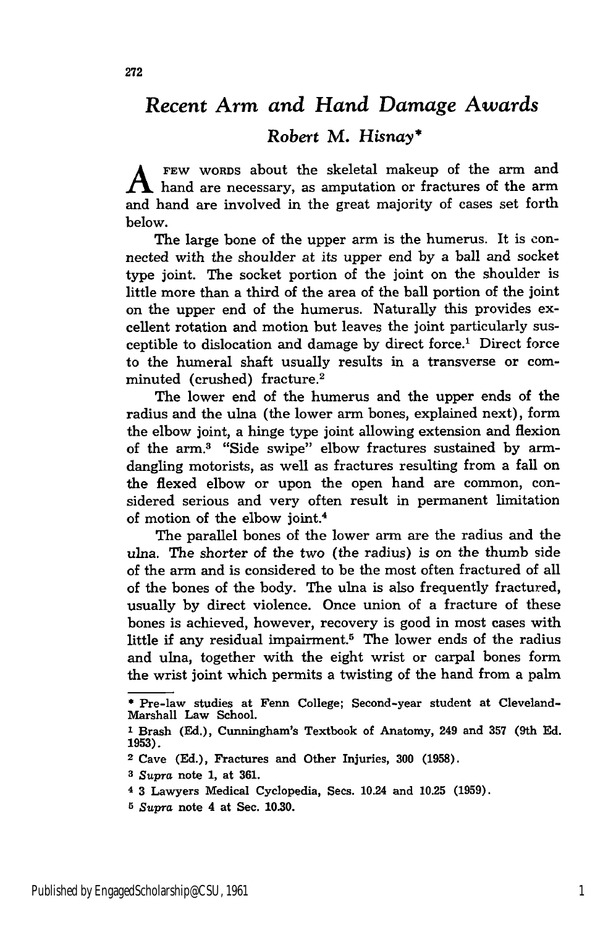# *Recent Arm and Hand Damage Awards*

# Robert M. *Hisnay\**

FEW WORDS about the skeletal makeup of the arm and  $\Lambda$  hand are necessary, as amputation or fractures of the arm and hand are involved in the great majority of cases set forth below.

The large bone of the upper arm is the humerus. It is connected with the shoulder at its upper end by a ball and socket type joint. The socket portion of the joint on the shoulder is little more than a third of the area of the ball portion of the joint on the upper end of the humerus. Naturally this provides excellent rotation and motion but leaves the joint particularly susceptible to dislocation and damage by direct force.' Direct force to the humeral shaft usually results in a transverse or comminuted (crushed) fracture. <sup>2</sup>

The lower end of the humerus and the upper ends of the radius and the ulna (the lower arm bones, explained next), form the elbow joint, a hinge type joint allowing extension and flexion of the arm.3 "Side swipe" elbow fractures sustained by armdangling motorists, as well as fractures resulting from a fall on the flexed elbow or upon the open hand are common, considered serious and very often result in permanent limitation of motion of the elbow joint.<sup>4</sup>

The parallel bones of the lower arm are the radius and the ulna. The shorter of the two (the radius) is on the thumb side of the arm and is considered to be the most often fractured of all of the bones of the body. The ulna is also frequently fractured, usually by direct violence. Once union of a fracture of these bones is achieved, however, recovery is good in most cases with little if any residual impairment.<sup>5</sup> The lower ends of the radius and ulna, together with the eight wrist or carpal bones form the wrist joint which permits a twisting of the hand from a palm

**5** *Supra* note 4 at Sec. 10.30.

**<sup>\*</sup>** Pre-law studies at Fenn College; Second-year student at Cleveland-Marshall Law School.

**<sup>1</sup>** Brash (Ed.), Cunningham's Textbook of Anatomy, 249 and **357** (9th Ed. **1953).**

**<sup>2</sup>** Cave **(Ed.),** Fractures and Other Injuries, **300 (1958).**

**<sup>3</sup>** *Supra* note 1, at **361.**

**<sup>4</sup>** 3 Lawyers Medical Cyclopedia, Secs. 10.24 and **10.25** (1959).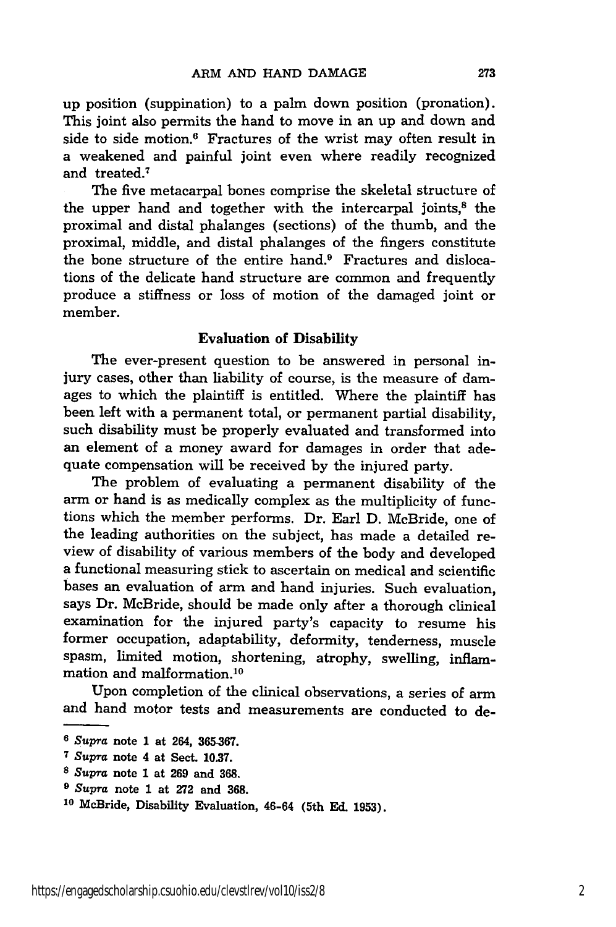up position (suppination) to a palm down position (pronation). This joint also permits the hand to move in an up and down and side to side motion.<sup>6</sup> Fractures of the wrist may often result in a weakened and painful joint even where readily recognized and treated.7

The five metacarpal bones comprise the skeletal structure of the upper hand and together with the intercarpal joints, $<sup>8</sup>$  the</sup> proximal and distal phalanges (sections) of the thumb, and the proximal, middle, and distal phalanges of the fingers constitute the bone structure of the entire hand.<sup>9</sup> Fractures and dislocations of the delicate hand structure are common and frequently produce a stiffness or loss of motion of the damaged joint or member.

# Evaluation of Disability

The ever-present question to be answered in personal injury cases, other than liability of course, is the measure of damages to which the plaintiff is entitled. Where the plaintiff has been left with a permanent total, or permanent partial disability, such disability must be properly evaluated and transformed into an element of a money award for damages in order that adequate compensation will be received **by** the injured party.

The problem of evaluating a permanent disability of the arm or hand is as medically complex as the multiplicity of functions which the member performs. Dr. Earl **D.** McBride, one of the leading authorities on the subject, has made a detailed review of disability of various members of the body and developed a functional measuring stick to ascertain on medical and scientific bases an evaluation of arm and hand injuries. Such evaluation, says Dr. McBride, should be made only after a thorough clinical examination for the injured party's capacity to resume his former occupation, adaptability, deformity, tenderness, muscle spasm, limited motion, shortening, atrophy, swelling, inflammation and malformation. <sup>10</sup>

Upon completion of the clinical observations, a series of arm and hand motor tests and measurements are conducted to de-

*<sup>6</sup> Supra* note 1 at 264, **365-367.**

**<sup>7</sup>***Supra* note 4 at Sect. **10.37.**

*<sup>8</sup> Supra* note **1** at **269** and **368.**

**<sup>9</sup>***Supra* note **1** at **272** and **368.**

**<sup>10</sup>**McBride, Disability Evaluation, 46-64 (5th **Ed. 1953).**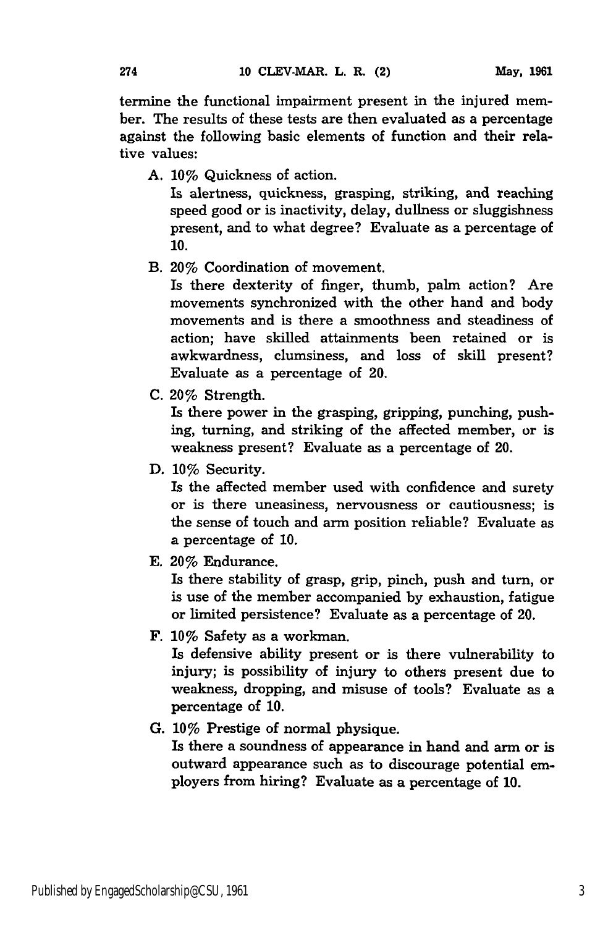termine the functional impairment present in the injured member. The results of these tests are then evaluated as a percentage against the following basic elements of function and their relative values:

A. **10%** Quickness of action.

Is alertness, quickness, grasping, striking, and reaching speed good or is inactivity, delay, dullness or sluggishness present, and to what degree? Evaluate as a percentage of **10.**

B. 20% Coordination of movement.

Is there dexterity of finger, thumb, palm action? Are movements synchronized with the other hand and body movements and is there a smoothness and steadiness of action; have skilled attainments been retained or is awkwardness, clumsiness, and loss of skill present? Evaluate as a percentage of 20.

C. 20% Strength.

Is there power in the grasping, gripping, punching, pushing, turning, and striking of the affected member, or is weakness present? Evaluate as a percentage of 20.

**D. 10%** Security.

Is the affected member used with confidence and surety or is there uneasiness, nervousness or cautiousness; is the sense of touch and arm position reliable? Evaluate as a percentage of **10.**

**E.** 20% Endurance.

Is there stability of grasp, grip, pinch, push and turn, or is use of the member accompanied **by** exhaustion, fatigue or limited persistence? Evaluate as a percentage of 20.

**F.** 10% Safety as a workman.

Is defensive ability present or is there vulnerability to injury; is possibility of injury to others present due to weakness, dropping, and misuse of tools? Evaluate as a percentage of **10.**

**G.** 10% Prestige of normal physique.

Is there a soundness of appearance in hand and arm or is outward appearance such as to discourage potential employers from hiring? Evaluate as a percentage of **10.**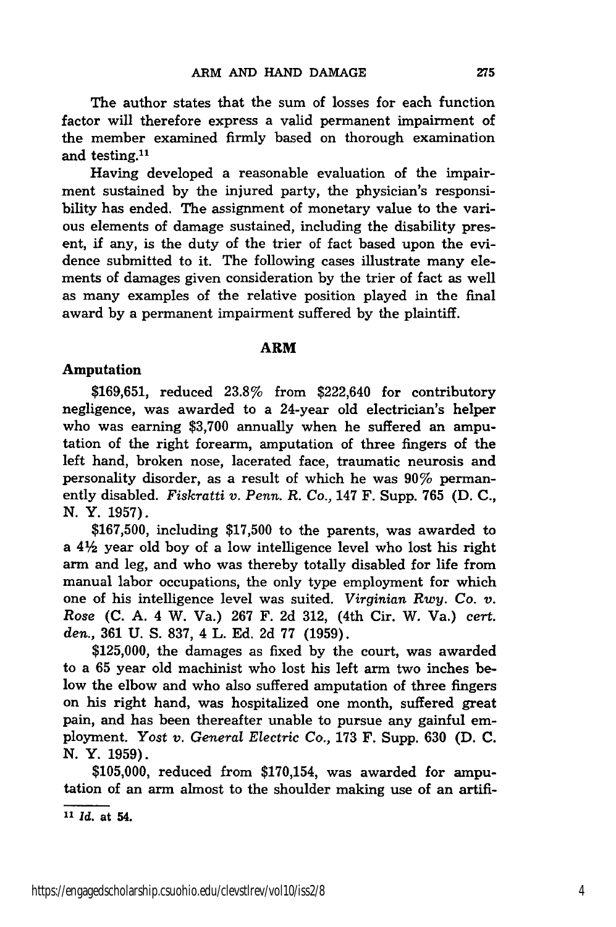The author states that the sum of losses for each function factor will therefore express a valid permanent impairment of the member examined firmly based on thorough examination and testing.<sup>11</sup>

Having developed a reasonable evaluation of the impairment sustained by the injured party, the physician's responsibility has ended. The assignment of monetary value to the various elements of damage sustained, including the disability present, if any, is the duty of the trier of fact based upon the evidence submitted to it. The following cases illustrate many elements of damages given consideration by the trier of fact as well as many examples of the relative position played in the final award by a permanent impairment suffered by the plaintiff.

# ARM

## Amputation

\$169,651, reduced 23.8% from \$222,640 for contributory negligence, was awarded to a 24-year old electrician's helper who was earning \$3,700 annually when he suffered an amputation of the right forearm, amputation of three fingers of the left hand, broken nose, lacerated face, traumatic neurosis and personality disorder, as a result of which he was 90% permanently disabled. *Fiskratti v. Penn. R. Co.,* 147 F. Supp. 765 **(D. C., N.** Y. 1957).

\$167,500, including \$17,500 to the parents, was awarded to a  $4\frac{1}{2}$  year old boy of a low intelligence level who lost his right arm and leg, and who was thereby totally disabled for life from manual labor occupations, the only type employment for which one of his intelligence level was suited. *Virginian Rwy. Co. v. Rose* **(C.** A. 4 W. Va.) 267 F. 2d 312, (4th Cir. W. Va.) *cert. den.,* 361 U. S. 837, 4 L. Ed. 2d 77 (1959).

\$125,000, the damages as fixed by the court, was awarded to a 65 year old machinist who lost his left arm two inches below the elbow and who also suffered amputation of three fingers on his right hand, was hospitalized one month, suffered great pain, and has been thereafter unable to pursue any gainful employment. Yost *v. General Electric Co.,* 173 F. Supp. 630 (D. **C.** N. Y. 1959).

\$105,000, reduced from \$170,154, was awarded for amputation of an arm almost to the shoulder making use of an artifi-

*11 Id.* at 54.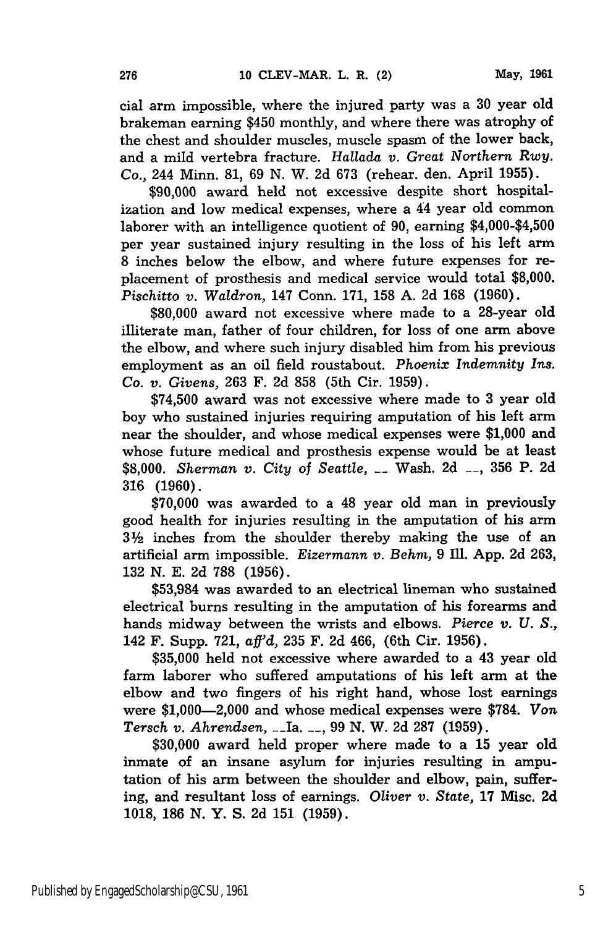cial arm impossible, where the injured party was a 30 year old brakeman earning \$450 monthly, and where there was atrophy of the chest and shoulder muscles, muscle spasm of the lower back, and a mild vertebra fracture. *Hallada v. Great Northern Rwy. Co.,* 244 Minn. 81, 69 N. W. 2d 673 (rehear. den. April 1955).

\$90,000 award held not excessive despite short hospitalization and low medical expenses, where a 44 year old common laborer with an intelligence quotient of 90, earning \$4,000-\$4,500 per year sustained injury resulting in the loss of his left arm 8 inches below the elbow, and where future expenses for replacement of prosthesis and medical service would total \$8,000. *Pischitto v. Waldron,* 147 Conn. 171, 158 A. 2d 168 (1960).

\$80,000 award not excessive where made to a 28-year old illiterate man, father of four children, for loss of one arm above the elbow, and where such injury disabled him from his previous employment as an oil field roustabout. *Phoenix Indemnity Ins. Co. v. Givens,* 263 F. 2d 858 (5th Cir. 1959).

\$74,500 award was not excessive where made to 3 year old boy who sustained injuries requiring amputation of his left arm near the shoulder, and whose medical expenses were \$1,000 and whose future medical and prosthesis expense would be at least \$8,000. *Sherman v. City of Seattle,* \_\_ Wash. 2d **\_-,** 356 P. 2d 316 (1960).

\$70,000 was awarded to a 48 year old man in previously good health for injuries resulting in the amputation of his arm 32 inches from the shoulder thereby making the use of an artificial arm impossible. *Eizermann v. Behm,* 9 Ill. App. 2d 263, 132 N. E. 2d 788 (1956).

\$53,984 was awarded to an electrical lineman who sustained electrical burns resulting in the amputation of his forearms and hands midway between the wrists and elbows. *Pierce v. U. S.,* 142 F. Supp. 721, *aff'd,* 235 F. 2d 466, (6th Cir. 1956).

\$35,000 held not excessive where awarded to a 43 year old farm laborer who suffered amputations of his left arm at the elbow and two fingers of his right hand, whose lost earnings were \$1,000-2,000 and whose medical expenses were \$784. *Von Tersch v. Ahrendsen,* --Ia. **\_\_,** 99 N. W. 2d 287 (1959).

\$30,000 award held proper where made to a 15 year old inmate of an insane asylum for injuries resulting in amputation of his arm between the shoulder and elbow, pain, suffering, and resultant loss of earnings. *Oliver v. State,* **17** Misc. 2d 1018, 186 **N.** Y. S. 2d 151 (1959).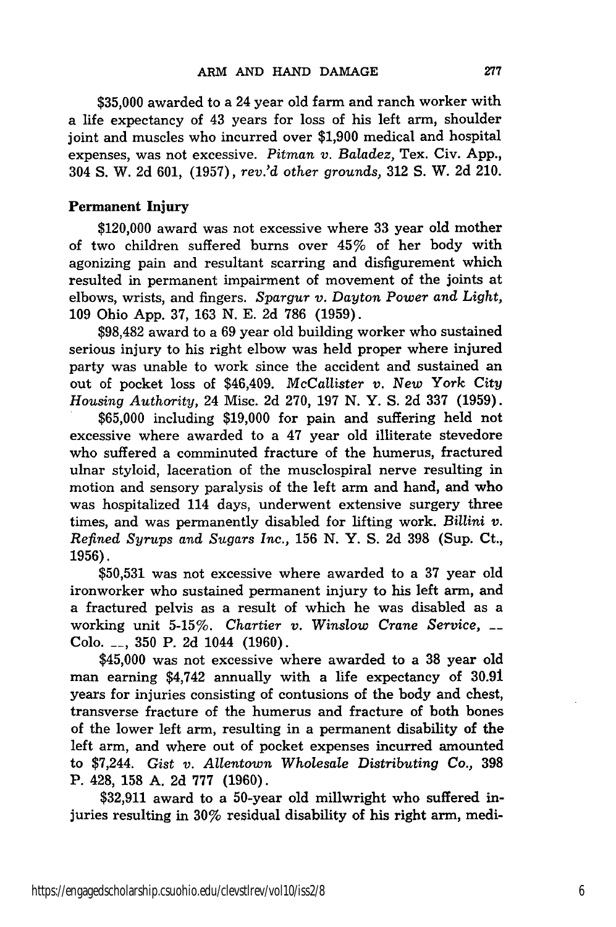\$35,000 awarded to a 24 year old farm and ranch worker with a life expectancy of 43 years for loss of his left arm, shoulder joint and muscles who incurred over \$1,900 medical and hospital expenses, was not excessive. *Pitman v. Baladez,* Tex. Civ. App., 304 S. W. 2d 601, (1957), *rev.'d other grounds,* 312 S. W. 2d 210.

# Permanent **Injury**

\$120,000 award was not excessive where **33** year old mother of two children suffered burns over 45% of her body with agonizing pain and resultant scarring and disfigurement which resulted in permanent impairment of movement of the joints at elbows, wrists, and fingers. *Spargur v. Dayton Power* and *Light,* 109 Ohio App. 37, 163 N. E. 2d 786 (1959).

\$98,482 award to a 69 year old building worker who sustained serious injury to his right elbow was held proper where injured party was unable to work since the accident and sustained an out of pocket loss of \$46,409. *McCallister v. New* York City *Housing Authority,* 24 Misc. 2d 270, 197 N. Y. S. 2d 337 (1959).

\$65,000 including \$19,000 for pain and suffering held not excessive where awarded to a 47 year old illiterate stevedore who suffered a comminuted fracture of the humerus, fractured ulnar styloid, laceration of the musclospiral nerve resulting in motion and sensory paralysis of the left arm and hand, and who was hospitalized 114 days, underwent extensive surgery three times, and was permanently disabled for lifting work. *Billini v. Refined Syrups and Sugars Inc.,* 156 N. Y. S. 2d 398 (Sup. Ct., 1956).

\$50,531 was not excessive where awarded to a 37 year old ironworker who sustained permanent injury to his left arm, and a fractured pelvis as a result of which he was disabled as a working unit 5-15%. *Chartier v. Winslow Crane Service, \_\_* Colo. **\_\_,** 350 P. 2d 1044 (1960).

\$45,000 was not excessive where awarded to a 38 year old man earning \$4,742 annually with a life expectancy of 30.91 years for injuries consisting of contusions of the body and chest, transverse fracture of the humerus and fracture of both bones of the lower left arm, resulting in a permanent disability of the left arm, and where out of pocket expenses incurred amounted to \$7,244. *Gist v. Allentown Wholesale Distributing Co.,* 398 P. 428, 158 A. 2d 777 (1960).

\$32,911 award to a 50-year old millwright who suffered injuries resulting in **30%** residual disability of his right arm, medi-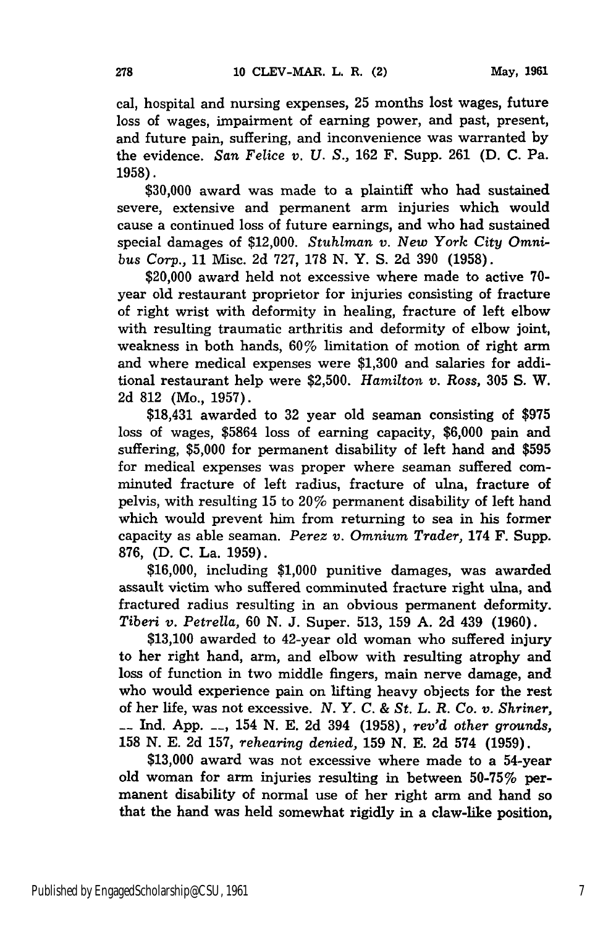cal, hospital and nursing expenses, **25** months lost wages, future loss of wages, impairment of earning power, and past, present, and future pain, suffering, and inconvenience was warranted **by** the evidence. San *Felice v. U. S.,* **162** F. Supp. **261 (D. C.** Pa. **1958).**

**\$30,000** award was made to a plaintiff who had sustained severe, extensive and permanent arm injuries which would cause a continued loss of future earnings, and who had sustained special damages of \$12,000. *Stuhlman v. New* York *City Omnibus Corp.,* **11** Misc. **2d 727, 178 N.** Y. **S. 2d 390 (1958).**

\$20,000 award held not excessive where made to active **70** year old restaurant proprietor for injuries consisting of fracture of right wrist with deformity in healing, fracture of left elbow with resulting traumatic arthritis and deformity of elbow joint, weakness in both hands, 60% limitation of motion of right arm and where medical expenses were **\$1,300** and salaries for additional restaurant help were **\$2,500.** *Hamilton v. Ross,* **305 S.** W. **2d 812** (Mo., **1957).**

\$18,431 awarded to **32** year old seaman consisting of **\$975** loss of wages, **\$5864** loss of earning capacity, **\$6,000** pain and suffering, **\$5,000** for permanent disability of left hand and **\$595** for medical expenses was proper where seaman suffered comminuted fracture of left radius, fracture of ulna, fracture of pelvis, with resulting **15** to 20% permanent disability of left hand which would prevent him from returning to sea in his former capacity as able seaman. *Perez v. Omnium Trader,* 174 F. Supp. **876, (D. C.** La. **1959).**

**\$16,000,** including **\$1,000** punitive damages, was awarded assault victim who suffered comminuted fracture right ulna, and fractured radius resulting in an obvious permanent deformity. *Tiberi v. Petrella,* **60 N. J.** Super. **513, 159 A. 2d** 439 **(1960).**

**\$13,100** awarded to 42-year old woman who suffered injury to her right hand, arm, and elbow with resulting atrophy and loss of function in two middle fingers, main nerve damage, and who would experience pain on lifting heavy objects for the rest of her life, was not excessive. *N. Y. C. & St. L. R. Co. v. Shriner,* **\_\_ Ind. App. -- ,** 154 **N. E. 2d** 394 **(1958),** *rev'd other grounds,* **158 N. E. 2d 157,** *rehearing denied,* **159 N. E. 2d** 574 **(1959).**

**\$13,000** award was not excessive where made to a 54-year old woman for arm injuries resulting in between 50-75% permanent disability of normal use of her right arm and hand so that the hand was held somewhat rigidly in a claw-like position,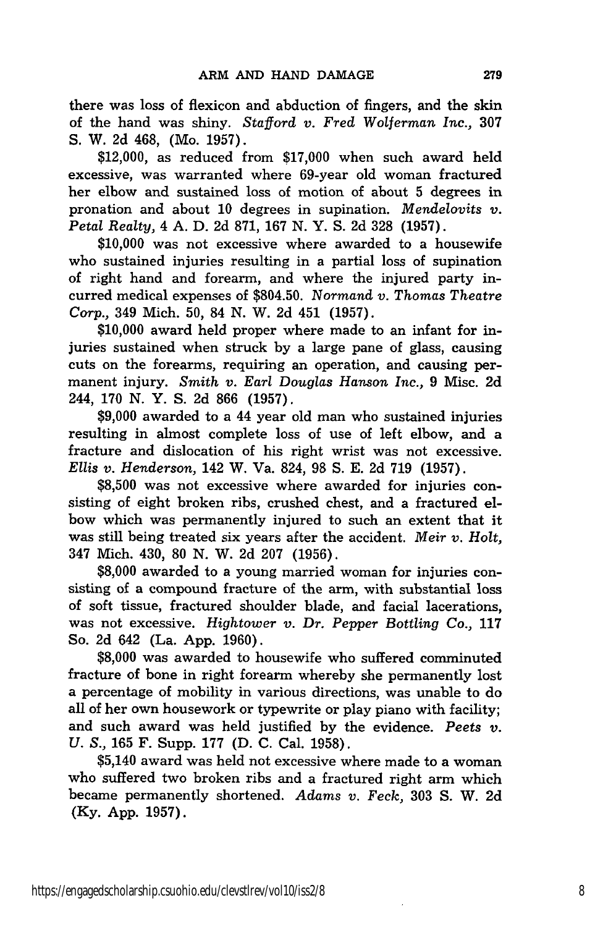there was loss of flexicon and abduction of fingers, and the skin of the hand was shiny. *Stafford v. Fred Wolferman Inc.,* 307 S. W. 2d 468, (Mo. 1957).

\$12,000, as reduced from \$17,000 when such award held excessive, was warranted where 69-year old woman fractured her elbow and sustained loss of motion of about 5 degrees in pronation and about 10 degrees in supination. *Mendelovits v. Petal Realty,* 4 A. D. 2d 871, 167 N. Y. S. 2d 328 (1957).

\$10,000 was not excessive where awarded to a housewife who sustained injuries resulting in a partial loss of supination of right hand and forearm, and where the injured party incurred medical expenses of \$804.50. *Normand v. Thomas Theatre Corp.,* 349 Mich. 50, 84 N. W. 2d 451 (1957).

\$10,000 award held proper where made to an infant for injuries sustained when struck by a large pane of glass, causing cuts on the forearms, requiring an operation, and causing permanent injury. *Smith v. Earl Douglas Hanson Inc.,* 9 Misc. 2d 244, 170 N. Y. S. 2d 866 (1957).

\$9,000 awarded to a 44 year old man who sustained injuries resulting in almost complete loss of use of left elbow, and a fracture and dislocation of his right wrist was not excessive. *Ellis v. Henderson,* 142 W. Va. 824, 98 S. E. 2d 719 (1957).

\$8,500 was not excessive where awarded for injuries consisting of eight broken ribs, crushed chest, and a fractured elbow which was permanently injured to such an extent that it was still being treated six years after the accident. *Meir v. Holt,* 347 Mich. 430, 80 N. W. 2d 207 (1956).

\$8,000 awarded to a young married woman for injuries consisting of a compound fracture of the arm, with substantial loss of soft tissue, fractured shoulder blade, and facial lacerations, was not excessive. *Hightower v. Dr. Pepper Bottling Co.,* 117 So. 2d 642 (La. App. 1960).

\$8,000 was awarded to housewife who suffered comminuted fracture of bone in right forearm whereby she permanently lost a percentage of mobility in various directions, was unable to do all of her own housework or typewrite or play piano with facility; and such award was held justified by the evidence. *Peets v. U. S.,* 165 F. Supp. 177 (D. C. Cal. 1958).

\$5,140 award was held not excessive where made to a woman who suffered two broken ribs and a fractured right arm which became permanently shortened. *Adams v. Feck,* 303 S. W. 2d (Ky. App. 1957).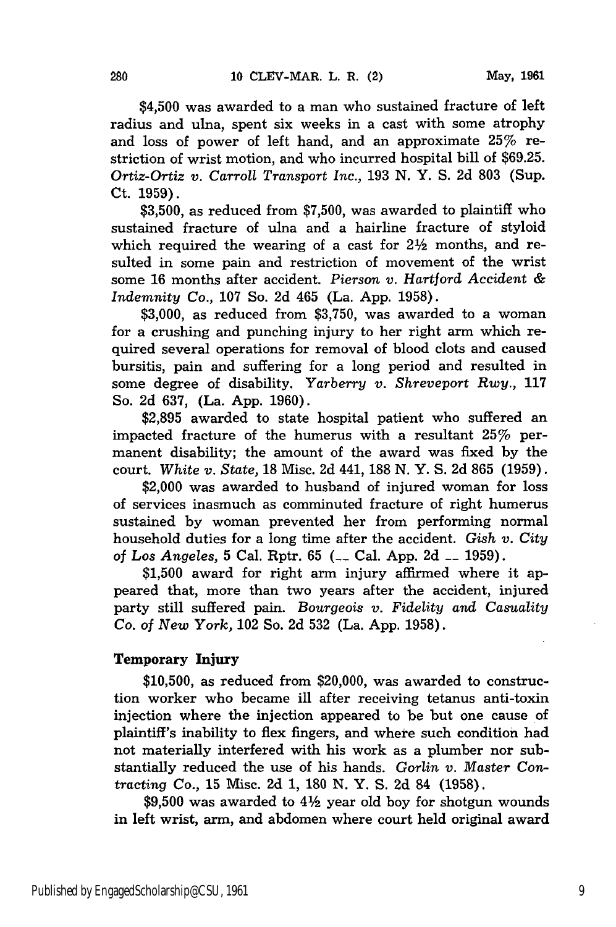\$4,500 was awarded to a man who sustained fracture of left radius and ulna, spent six weeks in a cast with some atrophy and loss of power of left hand, and an approximate 25% restriction of wrist motion, and who incurred hospital bill of \$69.25. *Ortiz-Ortiz v. Carroll Transport Inc.,* 193 N. Y. S. 2d 803 (Sup. Ct. 1959).

\$3,500, as reduced from \$7,500, was awarded to plaintiff who sustained fracture of ulna and a hairline fracture of styloid which required the wearing of a cast for  $2\frac{1}{2}$  months, and resulted in some pain and restriction of movement of the wrist some 16 months after accident. *Pierson v. Hartford Accident & Indemnity Co.,* 107 So. 2d 465 (La. App. 1958).

\$3,000, as reduced from \$3,750, was awarded to a woman for a crushing and punching injury to her right arm which required several operations for removal of blood clots and caused bursitis, pain and suffering for a long period and resulted in some degree of disability. *Yarberry v. Shreveport Rwy.,* 117 So. 2d 637, (La. App. 1960).

\$2,895 awarded to state hospital patient who suffered an impacted fracture of the humerus with a resultant 25% permanent disability; the amount of the award was fixed by the court. *White v. State,* 18 Misc. 2d 441, 188 N. Y. S. 2d 865 (1959).

\$2,000 was awarded to husband of injured woman for loss of services inasmuch as comminuted fracture of right humerus sustained by woman prevented her from performing normal household duties for a long time after the accident. *Gish v. City of Los Angeles,* 5 Cal. Rptr. 65 **(\_\_** Cal. App. 2d **\_\_** 1959).

\$1,500 award for right arm injury affirmed where it appeared that, more than two years after the accident, injured party still suffered pain. *Bourgeois v. Fidelity and Casuality Co. of New York,* 102 So. 2d 532 (La. App. 1958).

# Temporary Injury

**\$10,500,** as reduced from \$20,000, was awarded to construction worker who became ill after receiving tetanus anti-toxin injection where the injection appeared to be but one cause of plaintiff's inability to flex fingers, and where such condition had not materially interfered with his work as a plumber nor substantially reduced the use of his hands. *Gorlin v. Master* Contracting Co., **15** Misc. 2d 1, 180 N. Y. S. 2d 84 (1958).

 $$9,500$  was awarded to  $4\frac{1}{2}$  year old boy for shotgun wounds in left wrist, arm, and abdomen where court held original award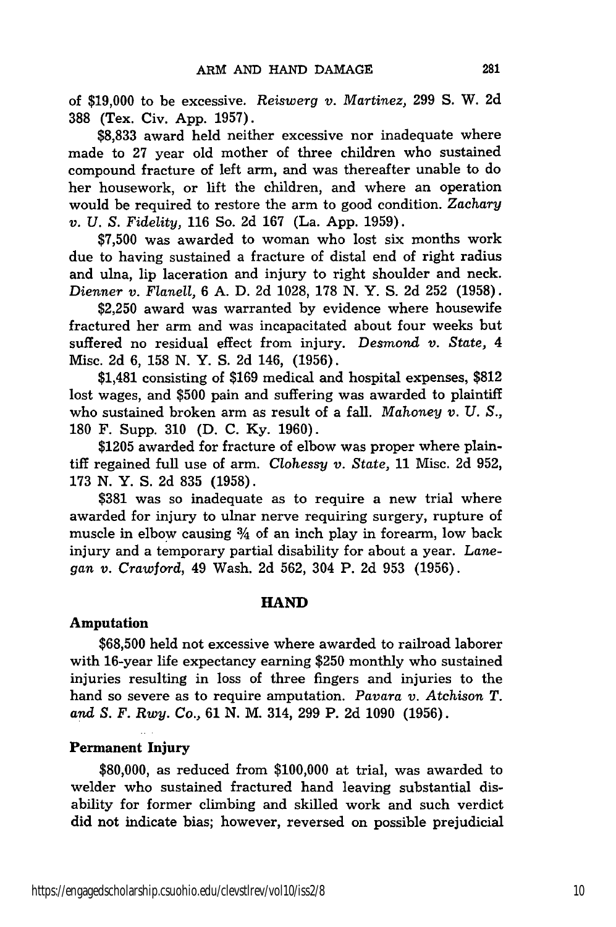of **\$19,000** to be excessive. *Reiswerg v. Martinez,* 299 S. W. 2d 388 (Tex. Civ. App. 1957).

\$8,833 award held neither excessive nor inadequate where made to 27 year old mother of three children who sustained compound fracture of left arm, and was thereafter unable to do her housework, or lift the children, and where an operation would be required to restore the arm to good condition. *Zachary v. U. S. Fidelity,* 116 So. 2d 167 (La. App. 1959).

\$7,500 was awarded to woman who lost six months work due to having sustained a fracture of distal end of right radius and ulna, lip laceration and injury to right shoulder and neck. *Dienner v. Flanell,* 6 A. D. 2d 1028, 178 N. Y. S. 2d 252 (1958).

\$2,250 award was warranted by evidence where housewife fractured her arm and was incapacitated about four weeks but suffered no residual effect from injury. *Desmond v. State, 4* Misc. 2d 6, 158 N. Y. S. 2d 146, (1956).

\$1,481 consisting of \$169 medical and hospital expenses, \$812 lost wages, and \$500 pain and suffering was awarded to plaintiff who sustained broken arm as result of a fall. *Mahoney v. U. S.,* 180 F. Supp. 310 (D. C. Ky. 1960).

\$1205 awarded for fracture of elbow was proper where plaintiff regained full use of arm. *Clohessy v. State,* 11 Misc. 2d 952, 173 N. Y. S. 2d 835 (1958).

\$381 was so inadequate as to require a new trial where awarded for injury to ulnar nerve requiring surgery, rupture of muscle in elbow causing  $\frac{3}{4}$  of an inch play in forearm, low back injury and a temporary partial disability for about a year. *Lanegan v. Crawford,* 49 Wash. 2d 562, 304 P. 2d 953 (1956).

## **HAND**

### **Amputation**

**\$68,500** held not excessive where awarded to railroad laborer with 16-year life expectancy earning **\$250** monthly who sustained injuries resulting in loss of three fingers and injuries to the hand so severe as to require amputation. *Pavara v. Atchison T. and S. F. Rwy. Co.,* **61 N.** M. 314, **299** P. **2d 1090 (1956).**

# **Permanent Injury**

**\$80,000,** as reduced from **\$100,000** at trial, was awarded to welder who sustained fractured hand leaving substantial disability for former climbing and skilled work and such verdict did not indicate bias; however, reversed on possible prejudicial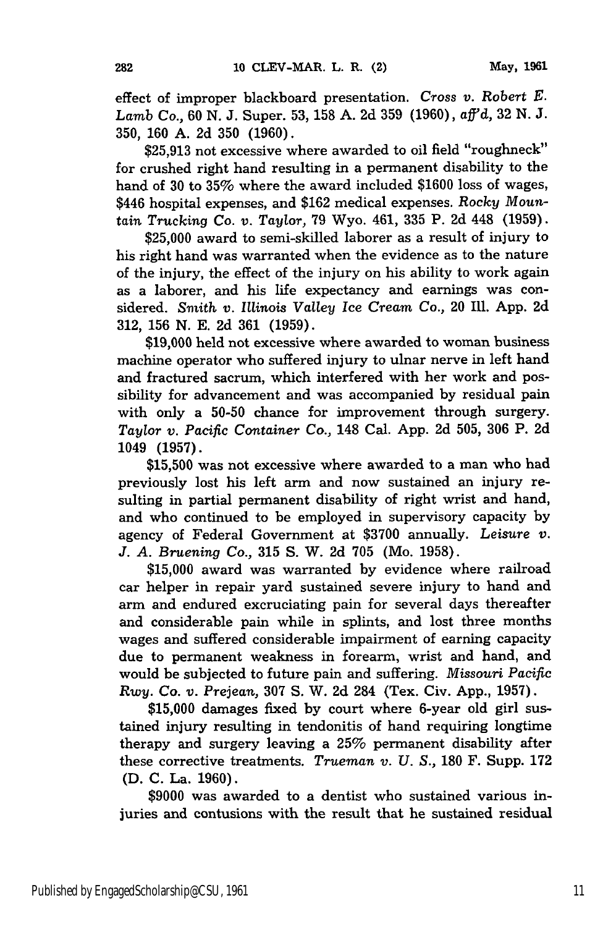effect of improper blackboard presentation. *Cross v. Robert E. Lamb* Co., 60 N. J. Super. 53, 158 A. 2d 359 (1960), aff'd, 32 N. J. 350, **160** A. 2d 350 (1960).

\$25,913 not excessive where awarded to oil field "roughneck" for crushed right hand resulting in a permanent disability to the hand of 30 to 35% where the award included \$1600 loss of wages, \$446 hospital expenses, and \$162 medical expenses. *Rocky Mountain Trucking* Co. v. Taylor, 79 Wyo. 461, 335 P. 2d 448 (1959).

\$25,000 award to semi-skilled laborer as a result of injury to his right hand was warranted when the evidence as to the nature of the injury, the effect of the injury on his ability to work again as a laborer, and his life expectancy and earnings was considered. *Smith v. Illinois* Valley *Ice Cream Co.,* 20 Ill. App. 2d 312, 156 N. E. 2d 361 (1959).

\$19,000 held not excessive where awarded to woman business machine operator who suffered injury to ulnar nerve in left hand and fractured sacrum, which interfered with her work and possibility for advancement and was accompanied by residual pain with only a 50-50 chance for improvement through surgery. Taylor *v. Pacific Container Co.,* 148 Cal. App. 2d 505, **306** P. 2d 1049 (1957).

\$15,500 was not excessive where awarded to a man who had previously lost his left arm and now sustained an injury resulting in partial permanent disability of right wrist and hand, and who continued to be employed in supervisory capacity by agency of Federal Government at \$3700 annually. *Leisure v. J. A. Bruening Co.,* 315 S. W. 2d 705 (Mo. 1958).

\$15,000 award was warranted by evidence where railroad car helper in repair yard sustained severe injury to hand and arm and endured excruciating pain for several days thereafter and considerable pain while in splints, and lost three months wages and suffered considerable impairment of earning capacity due to permanent weakness in forearm, wrist and hand, and would be subjected to future pain and suffering. *Missouri Pacific Rwy.* Co. *v. Prejean,* 307 S. W. 2d 284 (Tex. Civ. App., 1957).

\$15,000 damages fixed by court where 6-year old girl sustained injury resulting in tendonitis of hand requiring longtime therapy and surgery leaving a 25% permanent disability after these corrective treatments. *Trueman v. U. S.,* 180 F. Supp. 172 **(D. C.** La. **1960).**

\$9000 was awarded to a dentist who sustained various injuries and contusions with the result that he sustained residual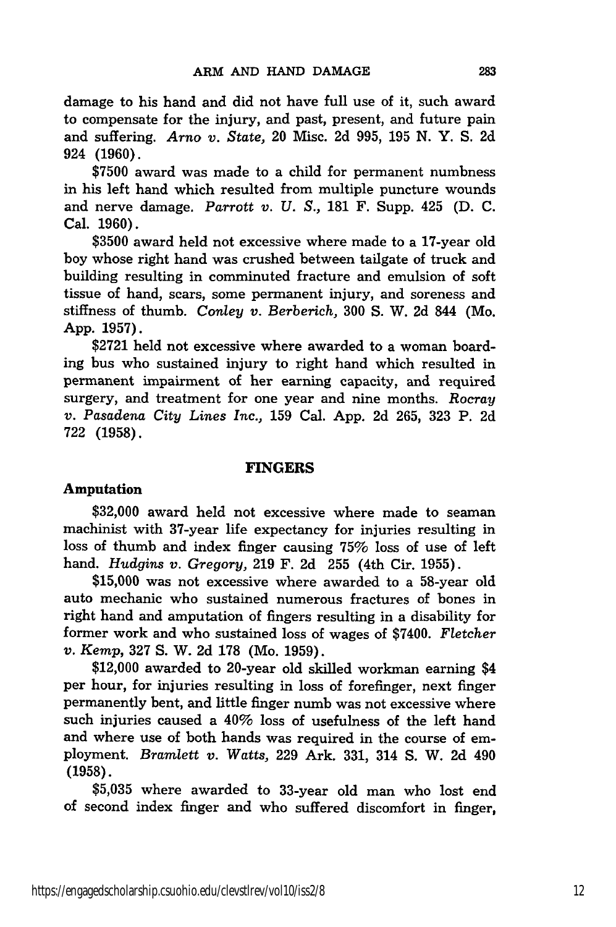damage to his hand and did not have full use of it, such award to compensate for the injury, and past, present, and future pain and suffering. *Arno v. State,* 20 Misc. 2d 995, 195 N. Y. S. 2d 924 (1960).

\$7500 award was made to a child for permanent numbness in his left hand which resulted from multiple puncture wounds and nerve damage. *Parrott v. U. S.,* **181** F. Supp. 425 (D. C. Cal. 1960).

\$3500 award held not excessive where made to a 17-year old boy whose right hand was crushed between tailgate of truck and building resulting in comminuted fracture and emulsion of soft tissue of hand, scars, some permanent injury, and soreness and stiffness of thumb. *Conley v. Berberich,* 300 S. W. 2d 844 (Mo. App. 1957).

\$2721 held not excessive where awarded to a woman boarding bus who sustained injury to right hand which resulted in permanent impairment of her earning capacity, and required surgery, and treatment for one year and nine months. *Rocray v. Pasadena City Lines Inc.,* 159 Cal. App. 2d 265, 323 P. 2d 722 (1958).

#### **FINGERS**

#### **Amputation**

**\$32,000** award held not excessive where made to seaman machinist with 37-year life expectancy for injuries resulting in loss of thumb and index finger causing **75%** loss of use of left hand. *Hudgins v. Gregory,* 219 F. 2d 255 (4th Cir. 1955).

\$15,000 was not excessive where awarded to a 58-year old auto mechanic who sustained numerous fractures of bones in right hand and amputation of fingers resulting in a disability for former work and who sustained loss of wages of \$7400. *Fletcher v. Kemp,* 327 S. W. 2d 178 (Mo. 1959).

\$12,000 awarded to 20-year old skilled workman earning \$4 per hour, for injuries resulting in loss of forefinger, next finger permanently bent, and little finger numb was not excessive where such injuries caused a 40% loss of usefulness of the left hand and where use of both hands was required in the course of employment. *Bramlett v. Watts,* 229 Ark. 331, 314 S. W. 2d 490 (1958).

\$5,035 where awarded to 33-year old man who lost end of second index finger and who suffered discomfort in finger,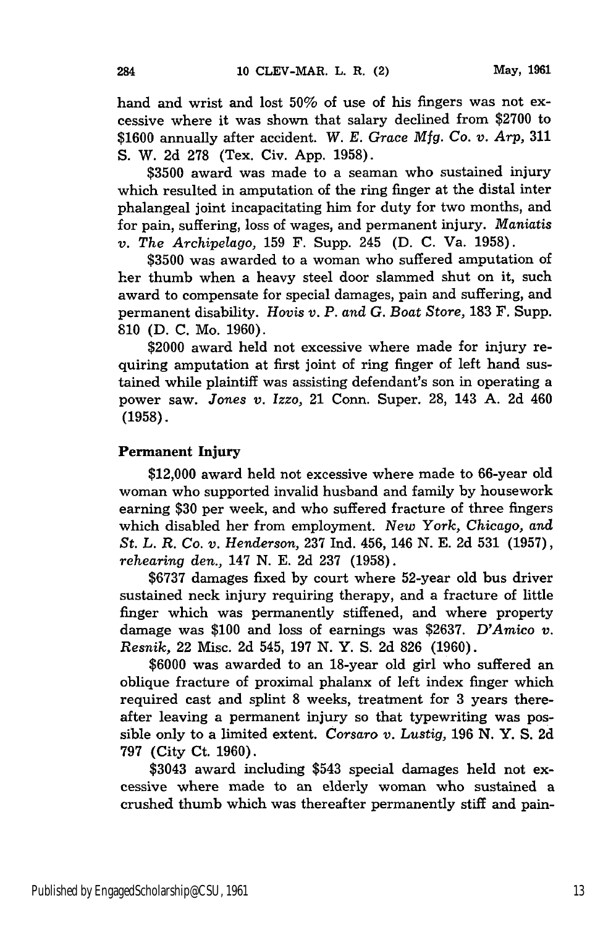hand and wrist and lost 50% of use of his fingers was not excessive where it was shown that salary declined from \$2700 to \$1600 annually after accident. *W. E. Grace Mfg. Co. v. Arp,* 311 S. W. 2d 278 (Tex. Civ. App. 1958).

\$3500 award was made to a seaman who sustained injury which resulted in amputation of the ring finger at the distal inter phalangeal joint incapacitating him for duty for two months, and for pain, suffering, loss of wages, and permanent injury. *Maniatis v. The Archipelago,* 159 F. Supp. 245 (D. C. Va. 1958).

\$3500 was awarded to a woman who suffered amputation of her thumb when a heavy steel door slammed shut on it, such award to compensate for special damages, pain and suffering, and permanent disability. *Hovis v. P. and G. Boat Store,* 183 F. Supp. 810 (D. C. Mo. 1960).

\$2000 award held not excessive where made for injury requiring amputation at first joint of ring finger of left hand sustained while plaintiff was assisting defendant's son in operating a power saw. *Jones v. Izzo,* 21 Conn. Super. 28, 143 A. 2d 460 **(1958).**

## Permanent Injury

284

\$12,000 award held not excessive where made to 66-year old woman who supported invalid husband and family **by** housework earning **\$30** per week, and who suffered fracture of three fingers which disabled her from employment. *New York, Chicago, and St. L. R. Co. v. Henderson,* **237 Ind.** 456, 146 **N. E. 2d 531 (1957),** *rehearing den.,* 147 **N. E. 2d 237 (1958).**

**\$6737** damages fixed **by** court where 52-year old bus driver sustained neck injury requiring therapy, and a fracture of little finger which was permanently stiffened, and where property damage was \$100 and loss of earnings was **\$2637.** *D'Amico v. Resnik,* 22 Misc. 2d 545, 197 N. Y. S. 2d 826 (1960).

\$6000 was awarded to an 18-year old girl who suffered an oblique fracture of proximal phalanx of left index finger which required cast and splint 8 weeks, treatment for 3 years thereafter leaving a permanent injury so that typewriting was possible only to a limited extent. *Corsaro v. Lustig,* 196 N. Y. S. 2d 797 (City Ct. 1960).

\$3043 award including \$543 special damages held not excessive where made to an elderly woman who sustained a crushed thumb which was thereafter permanently stiff and pain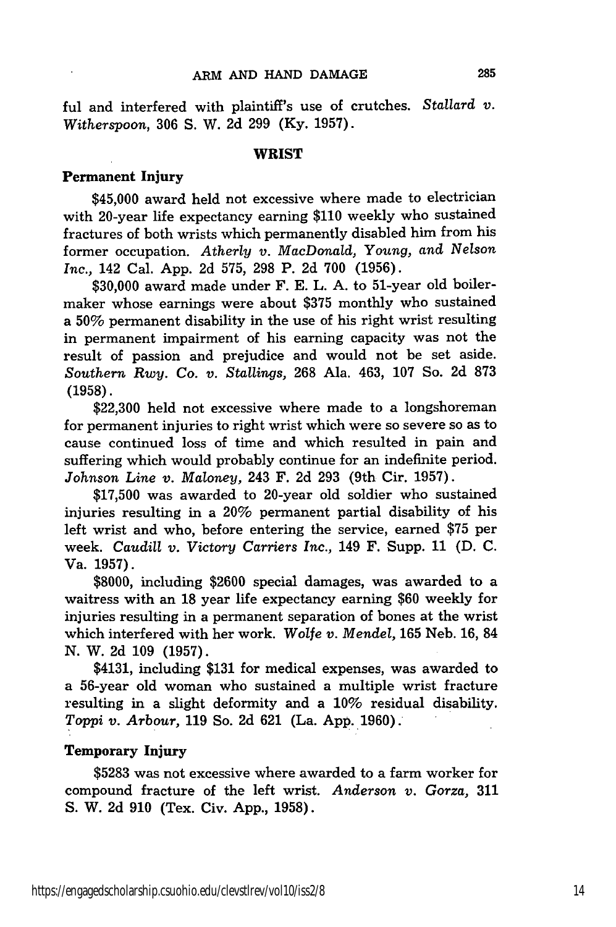ful and interfered with plaintiff's use of crutches. Stallard *v. Witherspoon,* 306 S. W. 2d 299 (Ky. 1957).

#### WRIST

#### Permanent Injury

\$45,000 award held not excessive where made to electrician with 20-year life expectancy earning \$110 weekly who sustained fractures of both wrists which permanently disabled him from his former occupation. *Atherly v. MacDonald, Young, and Nelson Inc.,* 142 Cal. App. 2d 575, 298 P. 2d 700 (1956).

\$30,000 award made under F. E. L. A. to 51-year old boilermaker whose earnings were about \$375 monthly who sustained a 50% permanent disability in the use of his right wrist resulting in permanent impairment of his earning capacity was not the result of passion and prejudice and would not be set aside. *Southern Rwy. Co. v. Stallings,* 268 Ala. 463, 107 So. 2d 873 (1958).

\$22,300 held not excessive where made to a longshoreman for permanent injuries to right wrist which were so severe so as to cause continued loss of time and which resulted in pain and suffering which would probably continue for an indefinite period. *Johnson Line v. Maloney,* 243 F. **2d** 293 (9th Cir. 1957).

\$17,500 was awarded to 20-year old soldier who sustained injuries resulting in a 20% permanent partial disability of his left wrist and who, before entering the service, earned **\$75** per week. *Caudill v. Victory Carriers Inc.,* 149 F. Supp. 11 **(D. C.** Va. 1957).

\$8000, including \$2600 special damages, was awarded to a waitress with an 18 year life expectancy earning \$60 weekly for injuries resulting in a permanent separation of bones at the wrist which interfered with her work. *Wolfe v. Mendel,* 165 Neb. 16, 84 N. W. **2d** 109 (1957).

\$4131, including \$131 for medical expenses, was awarded to a 56-year old woman who sustained a multiple wrist fracture resulting in a slight deformity and a 10% residual disability. *Toppi v. Arbour,* 119 So. **2d** 621 (La. **App.** 1960).

# Temporary Injury

\$5283 was not excessive where awarded to a farm worker for compound fracture of the left wrist. *Anderson v. Gorza,* 311 S. W. 2d 910 (Tex. Civ. App., 1958).